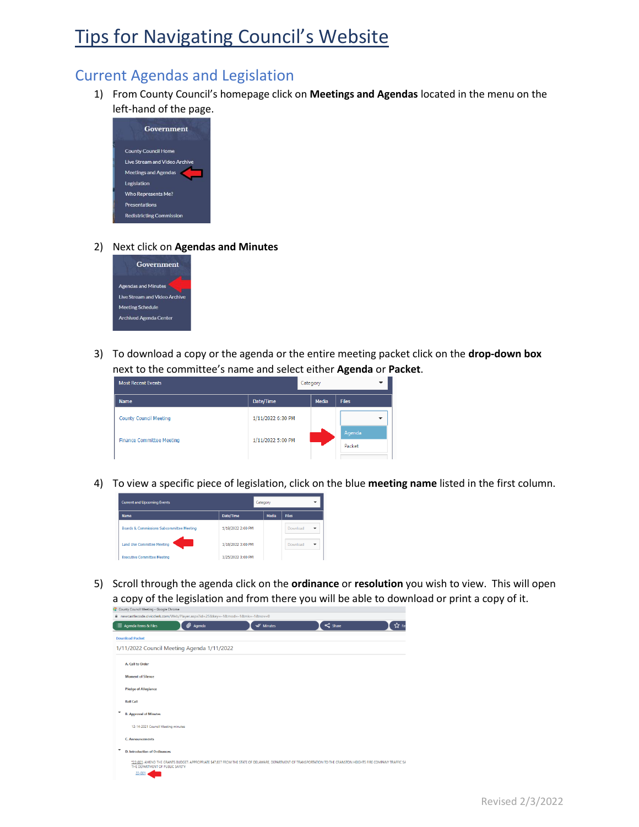# Tips for Navigating Council's Website

## Current Agendas and Legislation

1) From County Council's homepage click on **Meetings and Agendas** located in the menu on the left-hand of the page.



#### 2) Next click on **Agendas and Minutes**



3) To download a copy or the agenda or the entire meeting packet click on the **drop-down box** next to the committee's name and select either **Agenda** or **Packet**.

| <b>Most Recent Events</b>        | Category          |              |                  |
|----------------------------------|-------------------|--------------|------------------|
| <b>Name</b>                      | Date/Time         | <b>Media</b> | <b>Files</b>     |
| <b>County Council Meeting</b>    | 1/11/2022 6:30 PM |              |                  |
| <b>Finance Committee Meeting</b> | 1/11/2022 5:00 PM |              | Agenda<br>Packet |
|                                  |                   |              |                  |

4) To view a specific piece of legislation, click on the blue **meeting name** listed in the first column.



5) Scroll through the agenda click on the **ordinance** or **resolution** you wish to view. This will open a copy of the legislation and from there you will be able to download or print a copy of it.

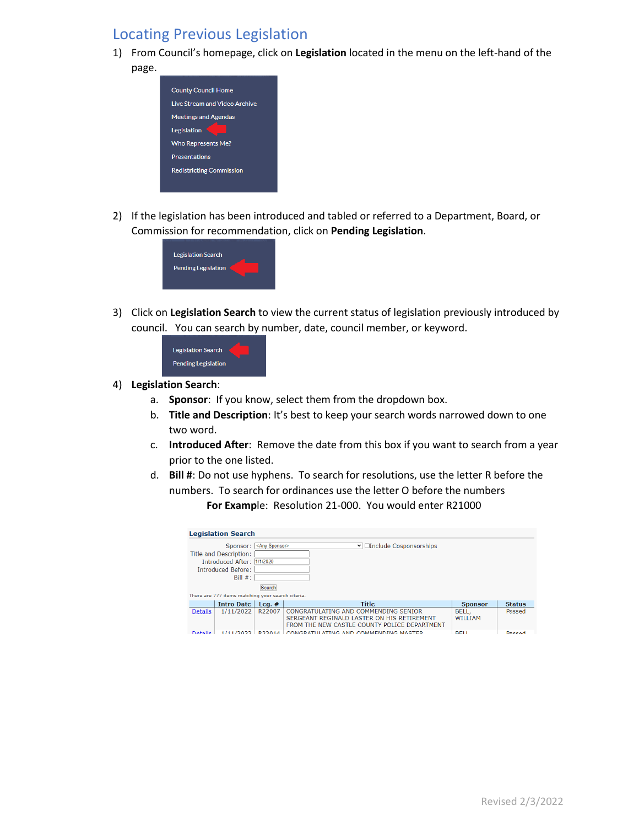### Locating Previous Legislation

1) From Council's homepage, click on **Legislation** located in the menu on the left-hand of the page.



2) If the legislation has been introduced and tabled or referred to a Department, Board, or Commission for recommendation, click on **Pending Legislation**.



3) Click on **Legislation Search** to view the current status of legislation previously introduced by council.You can search by number, date, council member, or keyword.



- 4) **Legislation Search**:
	- a. **Sponsor**: If you know, select them from the dropdown box.
	- b. **Title and Description**: It's best to keep your search words narrowed down to one two word.
	- c. **Introduced After**: Remove the date from this box if you want to search from a year prior to the one listed.
	- d. **Bill #**: Do not use hyphens. To search for resolutions, use the letter R before the numbers. To search for ordinances use the letter O before the numbers **For Examp**le: Resolution 21-000. You would enter R21000

| <b>Legislation Search</b>                         |                            |                        |                                                                                            |                |               |  |  |  |
|---------------------------------------------------|----------------------------|------------------------|--------------------------------------------------------------------------------------------|----------------|---------------|--|--|--|
|                                                   | Sponsor:                   | <any sponsor=""></any> | $\vee$ <i><u>Dinclude</u></i> Cosponsorships                                               |                |               |  |  |  |
|                                                   | Title and Description:     |                        |                                                                                            |                |               |  |  |  |
|                                                   | Introduced After: 1/1/2020 |                        |                                                                                            |                |               |  |  |  |
|                                                   | <b>Introduced Before:</b>  |                        |                                                                                            |                |               |  |  |  |
|                                                   | Bill $#$ :                 |                        |                                                                                            |                |               |  |  |  |
|                                                   | Search                     |                        |                                                                                            |                |               |  |  |  |
| There are 777 items matching your search citeria. |                            |                        |                                                                                            |                |               |  |  |  |
|                                                   | <b>Intro Date</b>          | Leq. $#$               | <b>Title</b>                                                                               | <b>Sponsor</b> | <b>Status</b> |  |  |  |
| <b>Details</b>                                    | 1/11/2022                  | R22007                 | CONGRATULATING AND COMMENDING SENIOR                                                       | BELL.          | Passed        |  |  |  |
|                                                   |                            |                        | SERGEANT REGINALD LASTER ON HIS RETIREMENT<br>FROM THE NEW CASTLE COUNTY POLICE DEPARTMENT | WILLIAM        |               |  |  |  |
| Dotaile                                           | 1/11/2022                  | DDD01A                 | CONCRATILIATING AND COMMENDING MASTER                                                      | <b>RELI</b>    | Daccod        |  |  |  |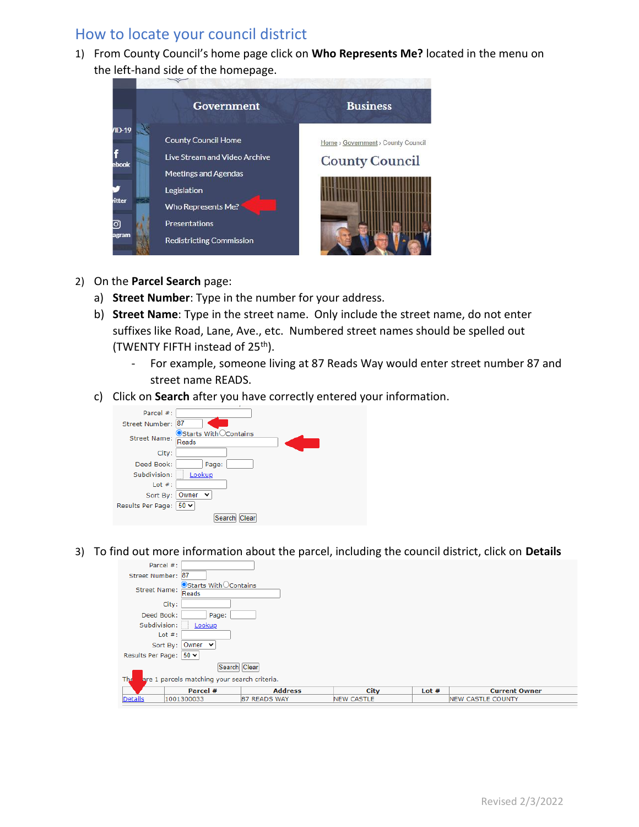### How to locate your council district

1) From County Council's home page click on **Who Represents Me?** located in the menu on the left-hand side of the homepage.



- 2) On the **Parcel Search** page:
	- a) **Street Number**: Type in the number for your address.
	- b) **Street Name**: Type in the street name. Only include the street name, do not enter suffixes like Road, Lane, Ave., etc. Numbered street names should be spelled out (TWENTY FIFTH instead of 25th).
		- For example, someone living at 87 Reads Way would enter street number 87 and street name READS.
	- c) Click on **Search** after you have correctly entered your information.



3) To find out more information about the parcel, including the council district, click on **Details**

| Parcel #:                                           |                                  |                |                   |         |                          |  |  |  |  |
|-----------------------------------------------------|----------------------------------|----------------|-------------------|---------|--------------------------|--|--|--|--|
| Street Number: 87                                   |                                  |                |                   |         |                          |  |  |  |  |
| <b>Street Name:</b>                                 | ● Starts With○ Contains<br>Reads |                |                   |         |                          |  |  |  |  |
| City:                                               |                                  |                |                   |         |                          |  |  |  |  |
| Deed Book:                                          | Page:                            |                |                   |         |                          |  |  |  |  |
| Subdivision:                                        | Lookup                           |                |                   |         |                          |  |  |  |  |
| Lot $#$ :                                           |                                  |                |                   |         |                          |  |  |  |  |
| Sort By:                                            | Owner $\sim$                     |                |                   |         |                          |  |  |  |  |
|                                                     | Results Per Page: 50 v           |                |                   |         |                          |  |  |  |  |
| Search Clear                                        |                                  |                |                   |         |                          |  |  |  |  |
| The<br>are 1 parcels matching your search criteria. |                                  |                |                   |         |                          |  |  |  |  |
|                                                     | Parcel #                         | <b>Address</b> | <b>City</b>       | Lot $#$ | <b>Current Owner</b>     |  |  |  |  |
| <b>Details</b>                                      | 1001300033                       | 87 READS WAY   | <b>NEW CASTLE</b> |         | <b>NEW CASTLE COUNTY</b> |  |  |  |  |